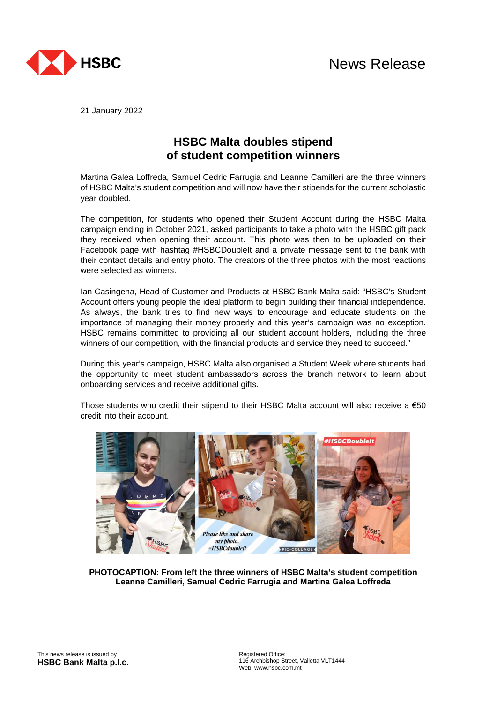

21 January 2022

## **HSBC Malta doubles stipend of student competition winners**

Martina Galea Loffreda, Samuel Cedric Farrugia and Leanne Camilleri are the three winners of HSBC Malta's student competition and will now have their stipends for the current scholastic year doubled.

The competition, for students who opened their Student Account during the HSBC Malta campaign ending in October 2021, asked participants to take a photo with the HSBC gift pack they received when opening their account. This photo was then to be uploaded on their Facebook page with hashtag #HSBCDoubleIt and a private message sent to the bank with their contact details and entry photo. The creators of the three photos with the most reactions were selected as winners.

Ian Casingena, Head of Customer and Products at HSBC Bank Malta said: "HSBC's Student Account offers young people the ideal platform to begin building their financial independence. As always, the bank tries to find new ways to encourage and educate students on the importance of managing their money properly and this year's campaign was no exception. HSBC remains committed to providing all our student account holders, including the three winners of our competition, with the financial products and service they need to succeed."

During this year's campaign, HSBC Malta also organised a Student Week where students had the opportunity to meet student ambassadors across the branch network to learn about onboarding services and receive additional gifts.

Those students who credit their stipend to their HSBC Malta account will also receive a  $€50$ credit into their account.



**PHOTOCAPTION: From left the three winners of HSBC Malta's student competition Leanne Camilleri, Samuel Cedric Farrugia and Martina Galea Loffreda**